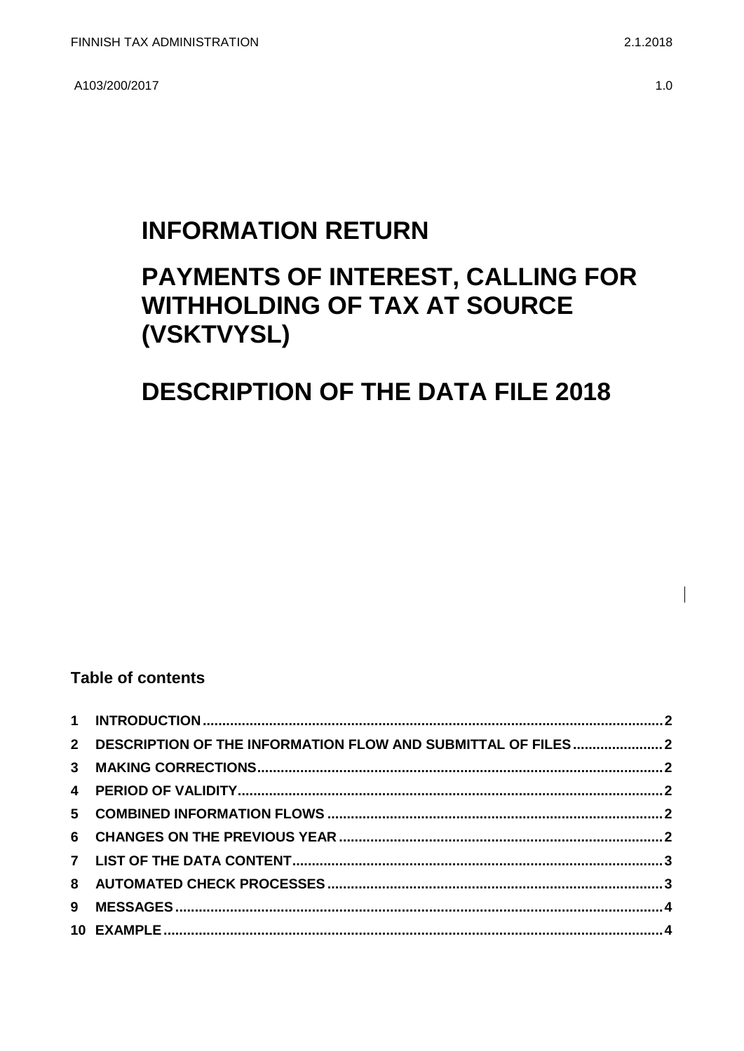A103/200/2017

## **INFORMATION RETURN**

# PAYMENTS OF INTEREST, CALLING FOR **WITHHOLDING OF TAX AT SOURCE** (VSKTVYSL)

## **DESCRIPTION OF THE DATA FILE 2018**

### **Table of contents**

| 2 DESCRIPTION OF THE INFORMATION FLOW AND SUBMITTAL OF FILES2 |  |
|---------------------------------------------------------------|--|
|                                                               |  |
|                                                               |  |
|                                                               |  |
|                                                               |  |
|                                                               |  |
|                                                               |  |
|                                                               |  |
|                                                               |  |
|                                                               |  |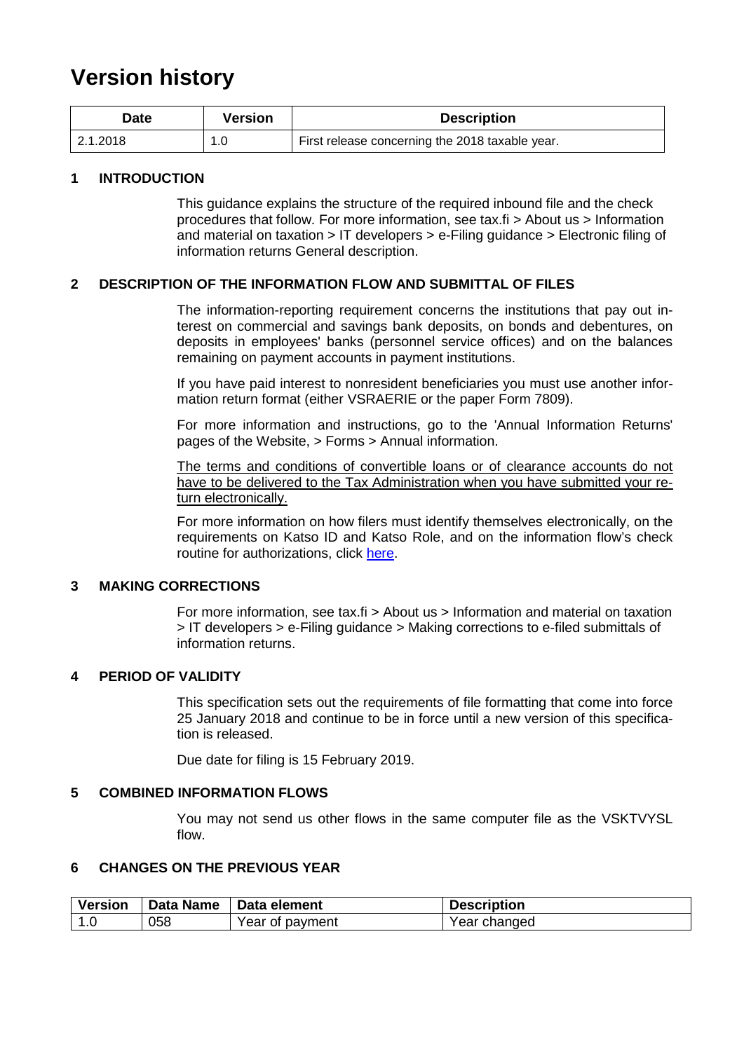## **Version history**

| Date     | Version | <b>Description</b>                              |
|----------|---------|-------------------------------------------------|
| 2.1.2018 |         | First release concerning the 2018 taxable year. |

#### <span id="page-1-0"></span>**1 INTRODUCTION**

This guidance explains the structure of the required inbound file and the check procedures that follow. For more information, see tax.fi > About us > Information and material on taxation > IT developers > e-Filing guidance > Electronic filing of information returns General description.

#### <span id="page-1-1"></span>**2 DESCRIPTION OF THE INFORMATION FLOW AND SUBMITTAL OF FILES**

The information-reporting requirement concerns the institutions that pay out interest on commercial and savings bank deposits, on bonds and debentures, on deposits in employees' banks (personnel service offices) and on the balances remaining on payment accounts in payment institutions.

If you have paid interest to nonresident beneficiaries you must use another information return format (either VSRAERIE or the paper Form 7809).

For more information and instructions, go to the 'Annual Information Returns' pages of the Website, > Forms > Annual information.

The terms and conditions of convertible loans or of clearance accounts do not have to be delivered to the Tax Administration when you have submitted your return electronically.

For more information on how filers must identify themselves electronically, on the requirements on Katso ID and Katso Role, and on the information flow's check routine for authorizations, click [here.](https://www.ilmoitin.fi/webtamo/sivut/IlmoituslajiRoolit?kieli=en&tv=VSKTVYSL)

#### <span id="page-1-2"></span>**3 MAKING CORRECTIONS**

For more information, see tax.fi > About us > Information and material on taxation > IT developers > e-Filing guidance > Making corrections to e-filed submittals of information returns.

#### <span id="page-1-3"></span>**4 PERIOD OF VALIDITY**

This specification sets out the requirements of file formatting that come into force 25 January 2018 and continue to be in force until a new version of this specification is released.

Due date for filing is 15 February 2019.

#### <span id="page-1-4"></span>**5 COMBINED INFORMATION FLOWS**

You may not send us other flows in the same computer file as the VSKTVYSL flow.

### <span id="page-1-5"></span>**6 CHANGES ON THE PREVIOUS YEAR**

| <b>Version</b> | <b>Data Name</b> | Data element    | <b>Description</b> |
|----------------|------------------|-----------------|--------------------|
| 1.0            | 058              | Year of payment | Year changed       |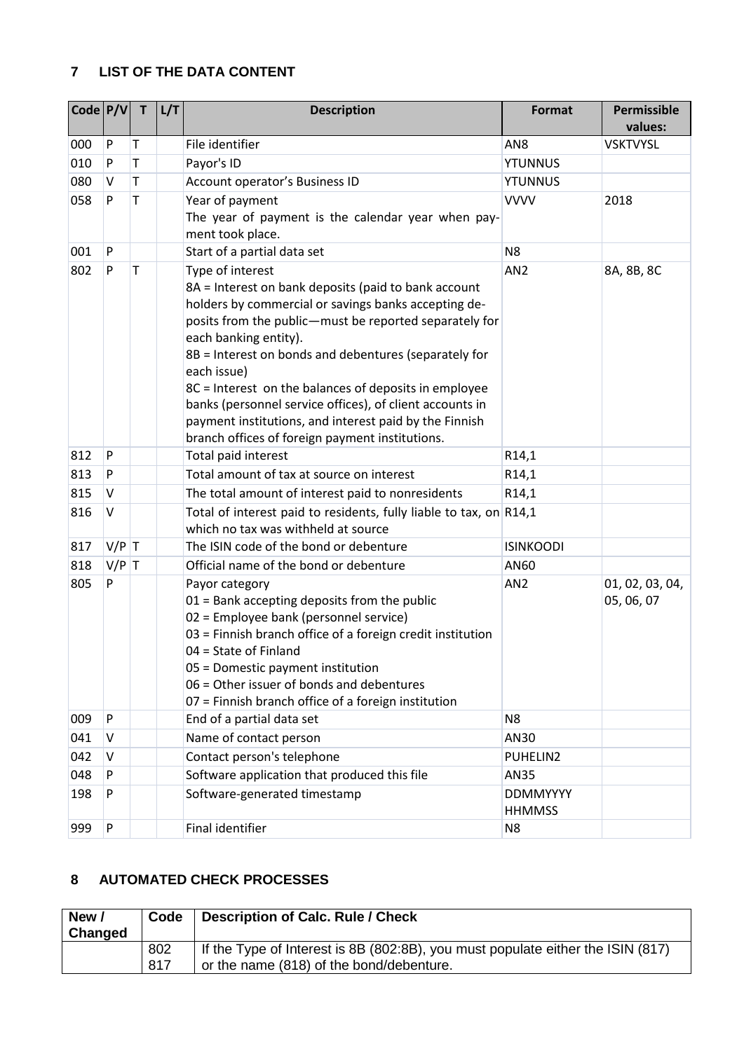### <span id="page-2-0"></span>**7 LIST OF THE DATA CONTENT**

| $\vert$ Code $\vert$ P/V $\vert$ |         | $\mathsf{T}$ | L/T | <b>Description</b>                                                                                                                                                                                                                                                                                                                                                                                                                                                                                                            | Format                           | Permissible<br>values:        |
|----------------------------------|---------|--------------|-----|-------------------------------------------------------------------------------------------------------------------------------------------------------------------------------------------------------------------------------------------------------------------------------------------------------------------------------------------------------------------------------------------------------------------------------------------------------------------------------------------------------------------------------|----------------------------------|-------------------------------|
| 000                              | P       | Т            |     | File identifier                                                                                                                                                                                                                                                                                                                                                                                                                                                                                                               | AN <sub>8</sub>                  | <b>VSKTVYSL</b>               |
| 010                              | P       | Τ            |     | Payor's ID                                                                                                                                                                                                                                                                                                                                                                                                                                                                                                                    | <b>YTUNNUS</b>                   |                               |
| 080                              | v       | T            |     | Account operator's Business ID                                                                                                                                                                                                                                                                                                                                                                                                                                                                                                | <b>YTUNNUS</b>                   |                               |
| 058                              | P       | T            |     | Year of payment<br>The year of payment is the calendar year when pay-<br>ment took place.                                                                                                                                                                                                                                                                                                                                                                                                                                     | <b>VVVV</b>                      | 2018                          |
| 001                              | P       |              |     | Start of a partial data set                                                                                                                                                                                                                                                                                                                                                                                                                                                                                                   | N <sub>8</sub>                   |                               |
| 802                              | P       | T            |     | Type of interest<br>8A = Interest on bank deposits (paid to bank account<br>holders by commercial or savings banks accepting de-<br>posits from the public-must be reported separately for<br>each banking entity).<br>8B = Interest on bonds and debentures (separately for<br>each issue)<br>8C = Interest on the balances of deposits in employee<br>banks (personnel service offices), of client accounts in<br>payment institutions, and interest paid by the Finnish<br>branch offices of foreign payment institutions. | AN <sub>2</sub>                  | 8A, 8B, 8C                    |
| 812                              | P       |              |     | Total paid interest                                                                                                                                                                                                                                                                                                                                                                                                                                                                                                           | R14,1                            |                               |
| 813                              | P       |              |     | Total amount of tax at source on interest                                                                                                                                                                                                                                                                                                                                                                                                                                                                                     | R14,1                            |                               |
| 815                              | V       |              |     | The total amount of interest paid to nonresidents                                                                                                                                                                                                                                                                                                                                                                                                                                                                             | R14,1                            |                               |
| 816                              | V       |              |     | Total of interest paid to residents, fully liable to tax, on R14,1<br>which no tax was withheld at source                                                                                                                                                                                                                                                                                                                                                                                                                     |                                  |                               |
| 817                              | $V/P$ T |              |     | The ISIN code of the bond or debenture                                                                                                                                                                                                                                                                                                                                                                                                                                                                                        | <b>ISINKOODI</b>                 |                               |
| 818                              | $V/P$ T |              |     | Official name of the bond or debenture                                                                                                                                                                                                                                                                                                                                                                                                                                                                                        | AN60                             |                               |
| 805                              | P       |              |     | Payor category<br>$01$ = Bank accepting deposits from the public<br>02 = Employee bank (personnel service)<br>03 = Finnish branch office of a foreign credit institution<br>04 = State of Finland<br>05 = Domestic payment institution<br>06 = Other issuer of bonds and debentures<br>07 = Finnish branch office of a foreign institution                                                                                                                                                                                    | AN <sub>2</sub>                  | 01, 02, 03, 04,<br>05, 06, 07 |
| 009                              | P       |              |     | End of a partial data set                                                                                                                                                                                                                                                                                                                                                                                                                                                                                                     | N <sub>8</sub>                   |                               |
| 041                              | V       |              |     | Name of contact person                                                                                                                                                                                                                                                                                                                                                                                                                                                                                                        | AN30                             |                               |
| 042                              | V       |              |     | Contact person's telephone                                                                                                                                                                                                                                                                                                                                                                                                                                                                                                    | PUHELIN2                         |                               |
| 048                              | P       |              |     | Software application that produced this file                                                                                                                                                                                                                                                                                                                                                                                                                                                                                  | AN35                             |                               |
| 198                              | P       |              |     | Software-generated timestamp                                                                                                                                                                                                                                                                                                                                                                                                                                                                                                  | <b>DDMMYYYY</b><br><b>HHMMSS</b> |                               |
| 999                              | P       |              |     | Final identifier                                                                                                                                                                                                                                                                                                                                                                                                                                                                                                              | N <sub>8</sub>                   |                               |

## <span id="page-2-1"></span>**8 AUTOMATED CHECK PROCESSES**

| New /<br>Changed | Code        | <b>Description of Calc. Rule / Check</b>                                                                                    |
|------------------|-------------|-----------------------------------------------------------------------------------------------------------------------------|
|                  | 802<br>-817 | If the Type of Interest is 8B (802:8B), you must populate either the ISIN (817)<br>or the name (818) of the bond/debenture. |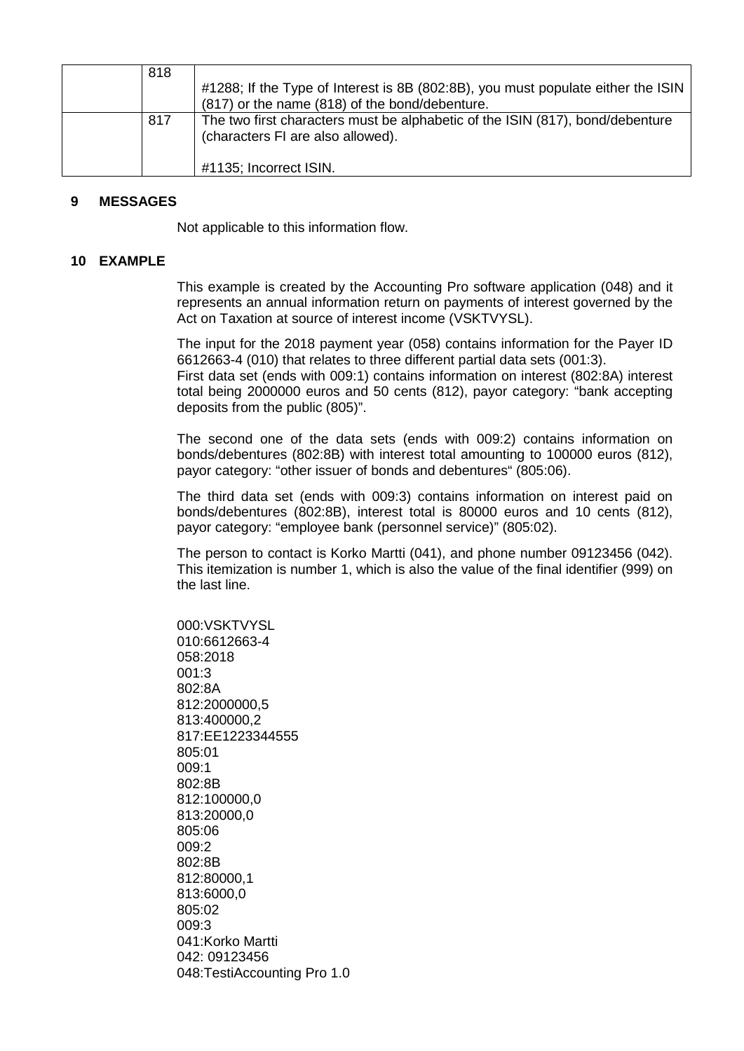| 818 |                                                                                                                    |
|-----|--------------------------------------------------------------------------------------------------------------------|
|     | #1288; If the Type of Interest is 8B (802:8B), you must populate either the ISIN                                   |
|     | (817) or the name (818) of the bond/debenture.                                                                     |
| 817 | The two first characters must be alphabetic of the ISIN (817), bond/debenture<br>(characters FI are also allowed). |
|     | #1135; Incorrect ISIN.                                                                                             |

#### <span id="page-3-0"></span>**9 MESSAGES**

Not applicable to this information flow.

#### <span id="page-3-1"></span>**10 EXAMPLE**

This example is created by the Accounting Pro software application (048) and it represents an annual information return on payments of interest governed by the Act on Taxation at source of interest income (VSKTVYSL).

The input for the 2018 payment year (058) contains information for the Payer ID 6612663-4 (010) that relates to three different partial data sets (001:3). First data set (ends with 009:1) contains information on interest (802:8A) interest total being 2000000 euros and 50 cents (812), payor category: "bank accepting deposits from the public (805)".

The second one of the data sets (ends with 009:2) contains information on bonds/debentures (802:8B) with interest total amounting to 100000 euros (812), payor category: "other issuer of bonds and debentures" (805:06).

The third data set (ends with 009:3) contains information on interest paid on bonds/debentures (802:8B), interest total is 80000 euros and 10 cents (812), payor category: "employee bank (personnel service)" (805:02).

The person to contact is Korko Martti (041), and phone number 09123456 (042). This itemization is number 1, which is also the value of the final identifier (999) on the last line.

000:VSKTVYSL 010:6612663-4 058:2018 001:3 802:8A 812:2000000,5 813:400000,2 817:EE1223344555 805:01 009:1 802:8B 812:100000,0 813:20000,0 805:06 009:2 802:8B 812:80000,1 813:6000,0 805:02 009:3 041:Korko Martti 042: 09123456 048:TestiAccounting Pro 1.0